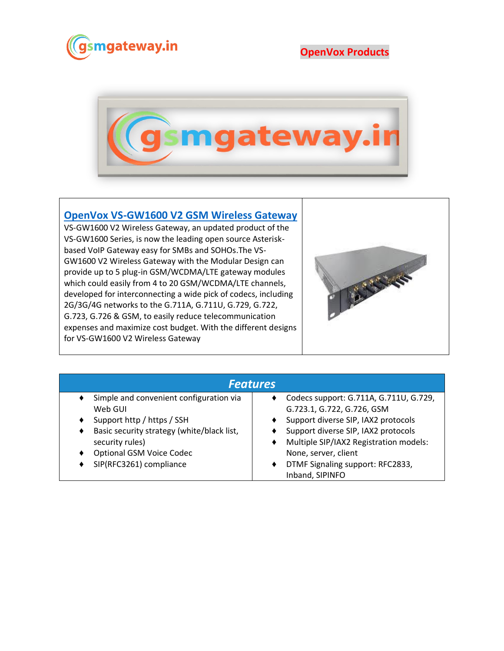

**OpenVox Products**



## **[OpenVox VS-GW1600 V2 GSM Wireless Gateway](https://www.gsmgateway.in/openvox/VS-GW1600-V2-GSM-Wireless-Gateway.html)**

VS-GW1600 V2 Wireless Gateway, an updated product of the VS-GW1600 Series, is now the leading open source Asteriskbased VoIP Gateway easy for SMBs and SOHOs.The VS-GW1600 V2 Wireless Gateway with the Modular Design can provide up to 5 plug-in GSM/WCDMA/LTE gateway modules which could easily from 4 to 20 GSM/WCDMA/LTE channels, developed for interconnecting a wide pick of codecs, including 2G/3G/4G networks to the G.711A, G.711U, G.729, G.722, G.723, G.726 & GSM, to easily reduce telecommunication expenses and maximize cost budget. With the different designs for VS-GW1600 V2 Wireless Gateway



| <b>Features</b>                            |                                        |  |  |  |
|--------------------------------------------|----------------------------------------|--|--|--|
| Simple and convenient configuration via    | Codecs support: G.711A, G.711U, G.729, |  |  |  |
| Web GUI                                    | G.723.1, G.722, G.726, GSM             |  |  |  |
| Support http / https / SSH                 | Support diverse SIP, IAX2 protocols    |  |  |  |
| Basic security strategy (white/black list, | Support diverse SIP, IAX2 protocols    |  |  |  |
| security rules)                            | Multiple SIP/IAX2 Registration models: |  |  |  |
| <b>Optional GSM Voice Codec</b>            | None, server, client                   |  |  |  |
| SIP(RFC3261) compliance                    | DTMF Signaling support: RFC2833,       |  |  |  |
|                                            | Inband, SIPINFO                        |  |  |  |